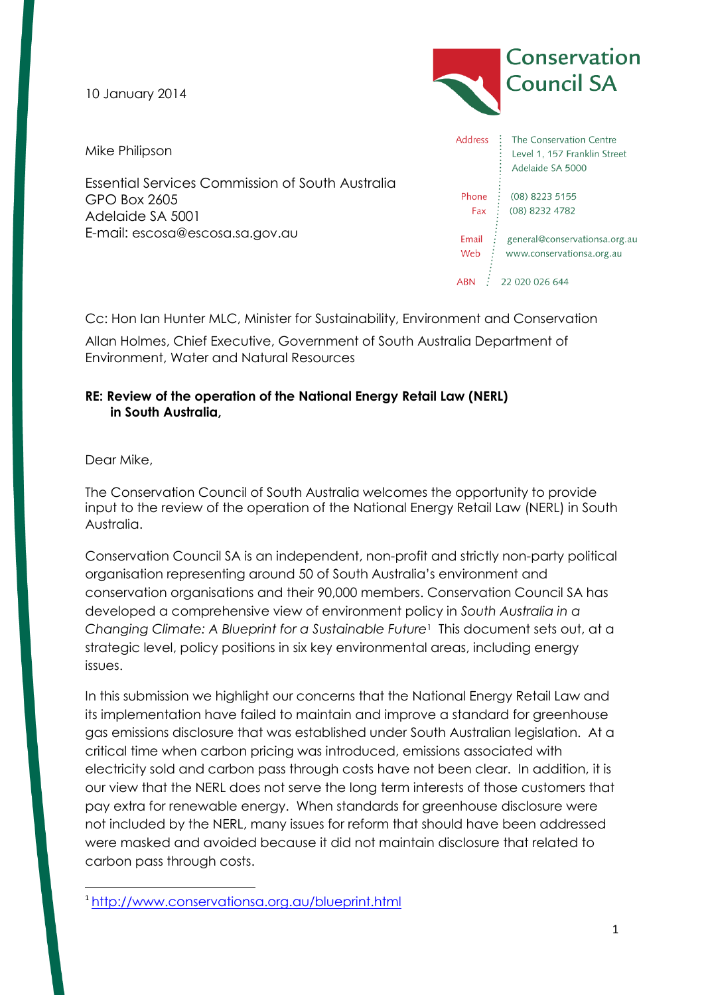**Council SA** 10 January 2014 **Address** The Conservation Centre Mike Philipson Level 1, 157 Franklin Street Adelaide SA 5000 Essential Services Commission of South Australia Phone : (08) 8223 5155 GPO Box 2605 Fax (08) 8232 4782 Adelaide SA 5001 E-mail: escosa@escosa.sa.gov.au Email: general@conservationsa.org.au Web www.conservationsa.org.au ABN : 22 020 026 644

Cc: Hon Ian Hunter MLC, Minister for Sustainability, Environment and Conservation

Allan Holmes, Chief Executive, Government of South Australia Department of Environment, Water and Natural Resources

# **RE: Review of the operation of the National Energy Retail Law (NERL) in South Australia,**

Dear Mike,

 $\overline{a}$ 

The Conservation Council of South Australia welcomes the opportunity to provide input to the review of the operation of the National Energy Retail Law (NERL) in South Australia.

Conservation Council SA is an independent, non-profit and strictly non-party political organisation representing around 50 of South Australia's environment and conservation organisations and their 90,000 members. Conservation Council SA has developed a comprehensive view of environment policy in *South Australia in a Changing Climate: A Blueprint for a Sustainable Future*<sup>1</sup> This document sets out, at a strategic level, policy positions in six key environmental areas, including energy issues.

In this submission we highlight our concerns that the National Energy Retail Law and its implementation have failed to maintain and improve a standard for greenhouse gas emissions disclosure that was established under South Australian legislation. At a critical time when carbon pricing was introduced, emissions associated with electricity sold and carbon pass through costs have not been clear. In addition, it is our view that the NERL does not serve the long term interests of those customers that pay extra for renewable energy. When standards for greenhouse disclosure were not included by the NERL, many issues for reform that should have been addressed were masked and avoided because it did not maintain disclosure that related to carbon pass through costs.

Conservation

<sup>1</sup> <http://www.conservationsa.org.au/blueprint.html>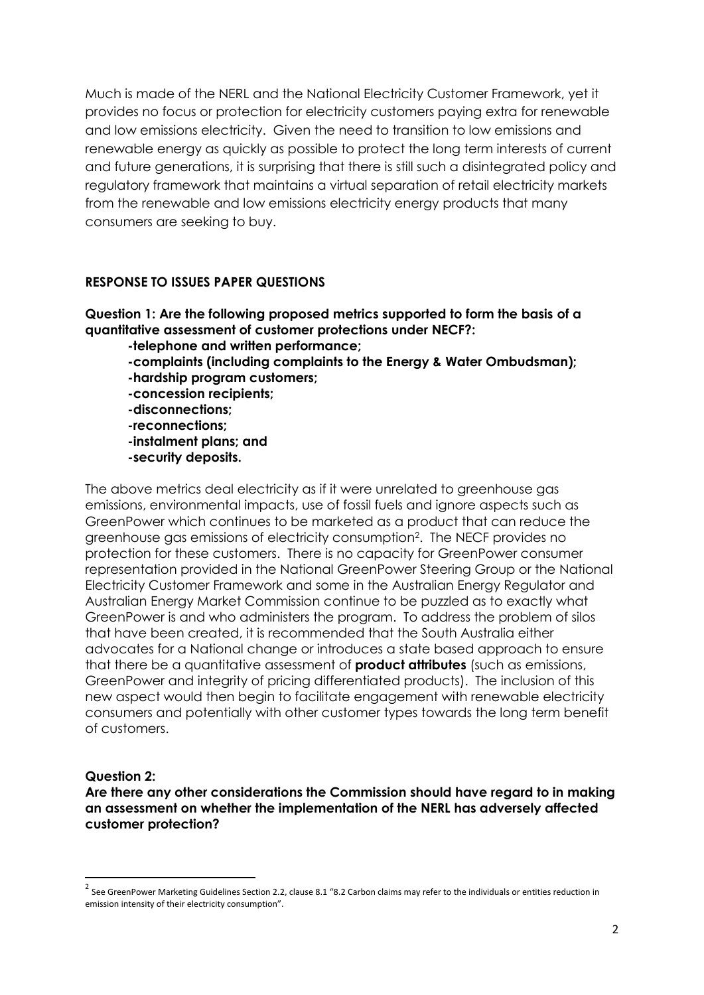Much is made of the NERL and the National Electricity Customer Framework, yet it provides no focus or protection for electricity customers paying extra for renewable and low emissions electricity. Given the need to transition to low emissions and renewable energy as quickly as possible to protect the long term interests of current and future generations, it is surprising that there is still such a disintegrated policy and regulatory framework that maintains a virtual separation of retail electricity markets from the renewable and low emissions electricity energy products that many consumers are seeking to buy.

#### **RESPONSE TO ISSUES PAPER QUESTIONS**

# **Question 1: Are the following proposed metrics supported to form the basis of a quantitative assessment of customer protections under NECF?:**

- **-telephone and written performance;**
- **-complaints (including complaints to the Energy & Water Ombudsman);**
- **-hardship program customers;**
- **-concession recipients;**
- **-disconnections;**
- **-reconnections;**
- **-instalment plans; and**
- **-security deposits.**

The above metrics deal electricity as if it were unrelated to greenhouse gas emissions, environmental impacts, use of fossil fuels and ignore aspects such as GreenPower which continues to be marketed as a product that can reduce the greenhouse gas emissions of electricity consumption<sup>2</sup> . The NECF provides no protection for these customers. There is no capacity for GreenPower consumer representation provided in the National GreenPower Steering Group or the National Electricity Customer Framework and some in the Australian Energy Regulator and Australian Energy Market Commission continue to be puzzled as to exactly what GreenPower is and who administers the program. To address the problem of silos that have been created, it is recommended that the South Australia either advocates for a National change or introduces a state based approach to ensure that there be a quantitative assessment of **product attributes** (such as emissions, GreenPower and integrity of pricing differentiated products). The inclusion of this new aspect would then begin to facilitate engagement with renewable electricity consumers and potentially with other customer types towards the long term benefit of customers.

#### **Question 2:**

**.** 

**Are there any other considerations the Commission should have regard to in making an assessment on whether the implementation of the NERL has adversely affected customer protection?**

 $^2$  See GreenPower Marketing Guidelines Section 2.2, clause 8.1 "8.2 Carbon claims may refer to the individuals or entities reduction in emission intensity of their electricity consumption".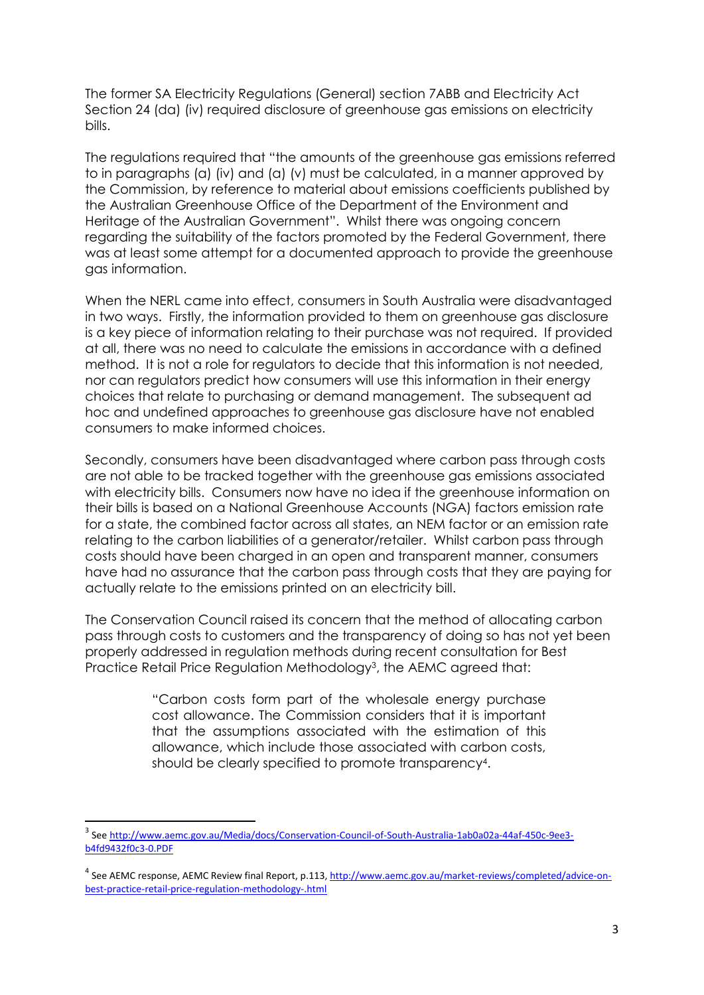The former SA Electricity Regulations (General) section 7ABB and Electricity Act Section 24 (da) (iv) required disclosure of greenhouse gas emissions on electricity bills.

The regulations required that "the amounts of the greenhouse gas emissions referred to in paragraphs (a) (iv) and (a) (v) must be calculated, in a manner approved by the Commission, by reference to material about emissions coefficients published by the Australian Greenhouse Office of the Department of the Environment and Heritage of the Australian Government". Whilst there was ongoing concern regarding the suitability of the factors promoted by the Federal Government, there was at least some attempt for a documented approach to provide the greenhouse gas information.

When the NERL came into effect, consumers in South Australia were disadvantaged in two ways. Firstly, the information provided to them on greenhouse gas disclosure is a key piece of information relating to their purchase was not required. If provided at all, there was no need to calculate the emissions in accordance with a defined method. It is not a role for regulators to decide that this information is not needed, nor can regulators predict how consumers will use this information in their energy choices that relate to purchasing or demand management. The subsequent ad hoc and undefined approaches to greenhouse gas disclosure have not enabled consumers to make informed choices.

Secondly, consumers have been disadvantaged where carbon pass through costs are not able to be tracked together with the greenhouse gas emissions associated with electricity bills. Consumers now have no idea if the greenhouse information on their bills is based on a National Greenhouse Accounts (NGA) factors emission rate for a state, the combined factor across all states, an NEM factor or an emission rate relating to the carbon liabilities of a generator/retailer. Whilst carbon pass through costs should have been charged in an open and transparent manner, consumers have had no assurance that the carbon pass through costs that they are paying for actually relate to the emissions printed on an electricity bill.

The Conservation Council raised its concern that the method of allocating carbon pass through costs to customers and the transparency of doing so has not yet been properly addressed in regulation methods during recent consultation for Best Practice Retail Price Regulation Methodology<sup>3</sup>, the AEMC agreed that:

> "Carbon costs form part of the wholesale energy purchase cost allowance. The Commission considers that it is important that the assumptions associated with the estimation of this allowance, which include those associated with carbon costs, should be clearly specified to promote transparency<sup>4</sup>.

**.** 

<sup>&</sup>lt;sup>3</sup> See [http://www.aemc.gov.au/Media/docs/Conservation-Council-of-South-Australia-1ab0a02a-44af-450c-9ee3](http://www.aemc.gov.au/Media/docs/Conservation-Council-of-South-Australia-1ab0a02a-44af-450c-9ee3-b4fd9432f0c3-0.PDF) [b4fd9432f0c3-0.PDF](http://www.aemc.gov.au/Media/docs/Conservation-Council-of-South-Australia-1ab0a02a-44af-450c-9ee3-b4fd9432f0c3-0.PDF)

<sup>&</sup>lt;sup>4</sup> See AEMC response, AEMC Review final Report, p.113[, http://www.aemc.gov.au/market-reviews/completed/advice-on](http://www.aemc.gov.au/market-reviews/completed/advice-on-best-practice-retail-price-regulation-methodology-.html)[best-practice-retail-price-regulation-methodology-.html](http://www.aemc.gov.au/market-reviews/completed/advice-on-best-practice-retail-price-regulation-methodology-.html)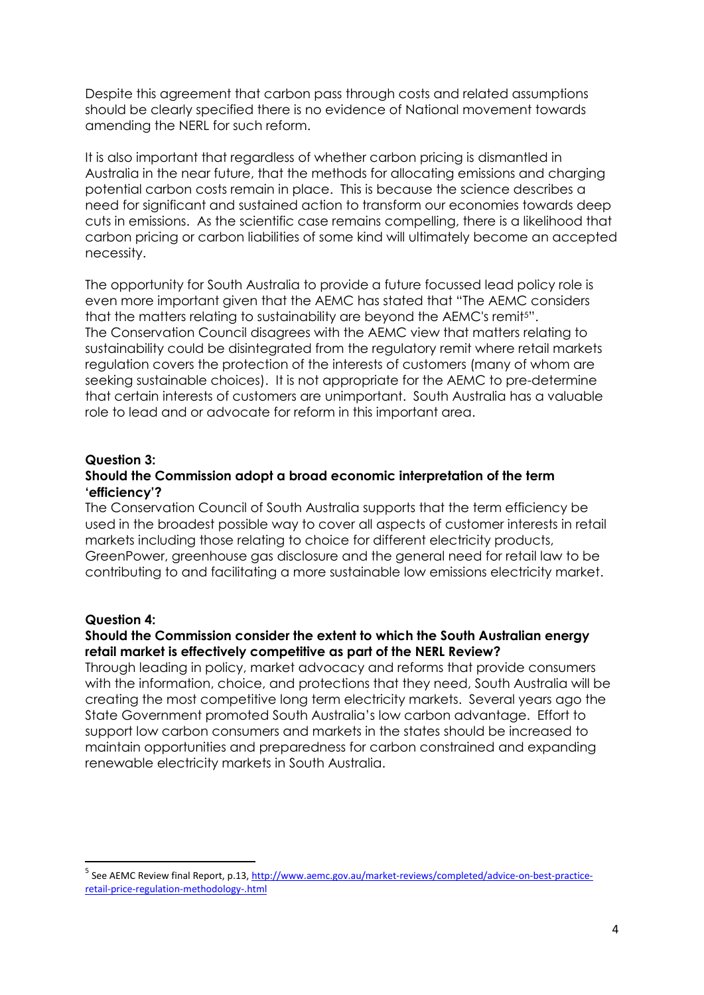Despite this agreement that carbon pass through costs and related assumptions should be clearly specified there is no evidence of National movement towards amending the NERL for such reform.

It is also important that regardless of whether carbon pricing is dismantled in Australia in the near future, that the methods for allocating emissions and charging potential carbon costs remain in place. This is because the science describes a need for significant and sustained action to transform our economies towards deep cuts in emissions. As the scientific case remains compelling, there is a likelihood that carbon pricing or carbon liabilities of some kind will ultimately become an accepted necessity.

The opportunity for South Australia to provide a future focussed lead policy role is even more important given that the AEMC has stated that "The AEMC considers that the matters relating to sustainability are beyond the AEMC's remit5". The Conservation Council disagrees with the AEMC view that matters relating to sustainability could be disintegrated from the regulatory remit where retail markets regulation covers the protection of the interests of customers (many of whom are seeking sustainable choices). It is not appropriate for the AEMC to pre-determine that certain interests of customers are unimportant. South Australia has a valuable role to lead and or advocate for reform in this important area.

# **Question 3:**

#### **Should the Commission adopt a broad economic interpretation of the term 'efficiency'?**

The Conservation Council of South Australia supports that the term efficiency be used in the broadest possible way to cover all aspects of customer interests in retail markets including those relating to choice for different electricity products, GreenPower, greenhouse gas disclosure and the general need for retail law to be contributing to and facilitating a more sustainable low emissions electricity market.

# **Question 4:**

**.** 

# **Should the Commission consider the extent to which the South Australian energy retail market is effectively competitive as part of the NERL Review?**

Through leading in policy, market advocacy and reforms that provide consumers with the information, choice, and protections that they need, South Australia will be creating the most competitive long term electricity markets. Several years ago the State Government promoted South Australia's low carbon advantage. Effort to support low carbon consumers and markets in the states should be increased to maintain opportunities and preparedness for carbon constrained and expanding renewable electricity markets in South Australia.

<sup>&</sup>lt;sup>5</sup> See AEMC Review final Report, p.13, [http://www.aemc.gov.au/market-reviews/completed/advice-on-best-practice](http://www.aemc.gov.au/market-reviews/completed/advice-on-best-practice-retail-price-regulation-methodology-.html)[retail-price-regulation-methodology-.html](http://www.aemc.gov.au/market-reviews/completed/advice-on-best-practice-retail-price-regulation-methodology-.html)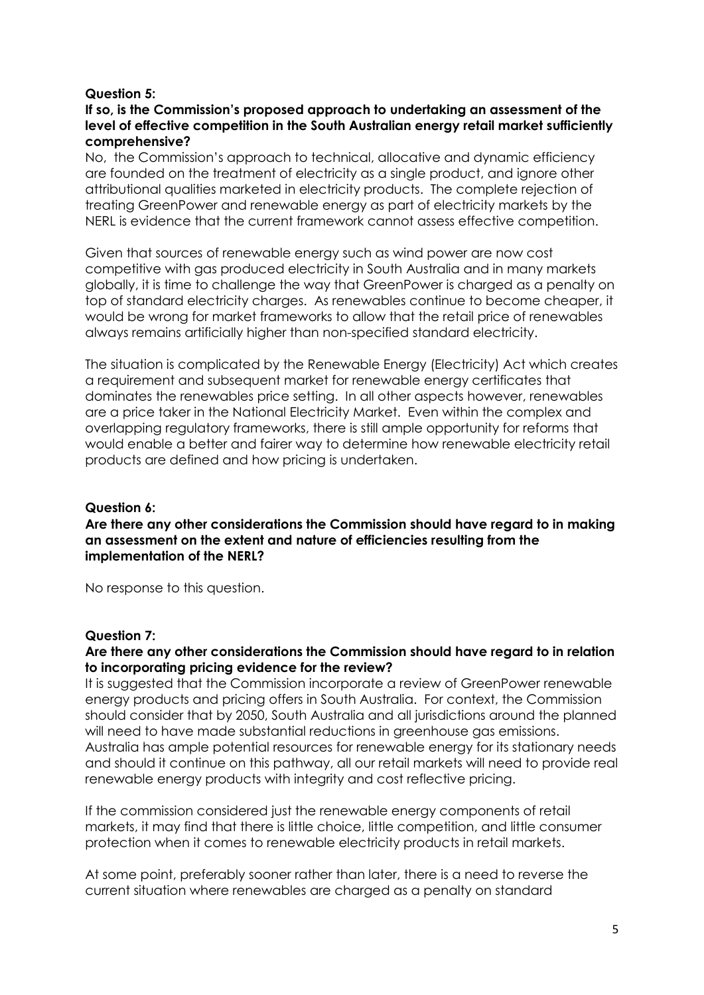### **Question 5:**

# **If so, is the Commission's proposed approach to undertaking an assessment of the level of effective competition in the South Australian energy retail market sufficiently comprehensive?**

No, the Commission's approach to technical, allocative and dynamic efficiency are founded on the treatment of electricity as a single product, and ignore other attributional qualities marketed in electricity products. The complete rejection of treating GreenPower and renewable energy as part of electricity markets by the NERL is evidence that the current framework cannot assess effective competition.

Given that sources of renewable energy such as wind power are now cost competitive with gas produced electricity in South Australia and in many markets globally, it is time to challenge the way that GreenPower is charged as a penalty on top of standard electricity charges. As renewables continue to become cheaper, it would be wrong for market frameworks to allow that the retail price of renewables always remains artificially higher than non-specified standard electricity.

The situation is complicated by the Renewable Energy (Electricity) Act which creates a requirement and subsequent market for renewable energy certificates that dominates the renewables price setting. In all other aspects however, renewables are a price taker in the National Electricity Market. Even within the complex and overlapping regulatory frameworks, there is still ample opportunity for reforms that would enable a better and fairer way to determine how renewable electricity retail products are defined and how pricing is undertaken.

#### **Question 6:**

**Are there any other considerations the Commission should have regard to in making an assessment on the extent and nature of efficiencies resulting from the implementation of the NERL?**

No response to this question.

#### **Question 7:**

# **Are there any other considerations the Commission should have regard to in relation to incorporating pricing evidence for the review?**

It is suggested that the Commission incorporate a review of GreenPower renewable energy products and pricing offers in South Australia. For context, the Commission should consider that by 2050, South Australia and all jurisdictions around the planned will need to have made substantial reductions in greenhouse gas emissions. Australia has ample potential resources for renewable energy for its stationary needs and should it continue on this pathway, all our retail markets will need to provide real renewable energy products with integrity and cost reflective pricing.

If the commission considered just the renewable energy components of retail markets, it may find that there is little choice, little competition, and little consumer protection when it comes to renewable electricity products in retail markets.

At some point, preferably sooner rather than later, there is a need to reverse the current situation where renewables are charged as a penalty on standard